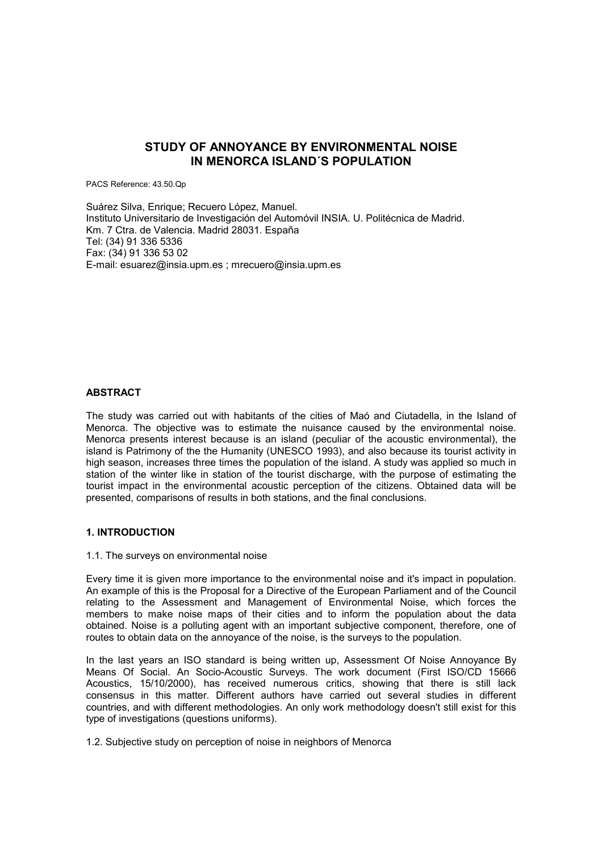# **STUDY OF ANNOYANCE BY ENVIRONMENTAL NOISE IN MENORCA ISLAND´S POPULATION**

PACS Reference: 43.50.Qp

Suárez Silva, Enrique; Recuero López, Manuel. Instituto Universitario de Investigación del Automóvil INSIA. U. Politécnica de Madrid. Km. 7 Ctra. de Valencia. Madrid 28031. España Tel: (34) 91 336 5336 Fax: (34) 91 336 53 02 E-mail: esuarez@insia.upm.es ; mrecuero@insia.upm.es

#### **ABSTRACT**

The study was carried out with habitants of the cities of Maó and Ciutadella, in the Island of Menorca. The objective was to estimate the nuisance caused by the environmental noise. Menorca presents interest because is an island (peculiar of the acoustic environmental), the island is Patrimony of the the Humanity (UNESCO 1993), and also because its tourist activity in high season, increases three times the population of the island. A study was applied so much in station of the winter like in station of the tourist discharge, with the purpose of estimating the tourist impact in the environmental acoustic perception of the citizens. Obtained data will be presented, comparisons of results in both stations, and the final conclusions.

#### **1. INTRODUCTION**

#### 1.1. The surveys on environmental noise

Every time it is given more importance to the environmental noise and it's impact in population. An example of this is the Proposal for a Directive of the European Parliament and of the Council relating to the Assessment and Management of Environmental Noise, which forces the members to make noise maps of their cities and to inform the population about the data obtained. Noise is a polluting agent with an important subjective component, therefore, one of routes to obtain data on the annoyance of the noise, is the surveys to the population.

In the last years an ISO standard is being written up, Assessment Of Noise Annoyance By Means Of Social. An Socio-Acoustic Surveys. The work document (First ISO/CD 15666 Acoustics, 15/10/2000), has received numerous critics, showing that there is still lack consensus in this matter. Different authors have carried out several studies in different countries, and with different methodologies. An only work methodology doesn't still exist for this type of investigations (questions uniforms).

1.2. Subjective study on perception of noise in neighbors of Menorca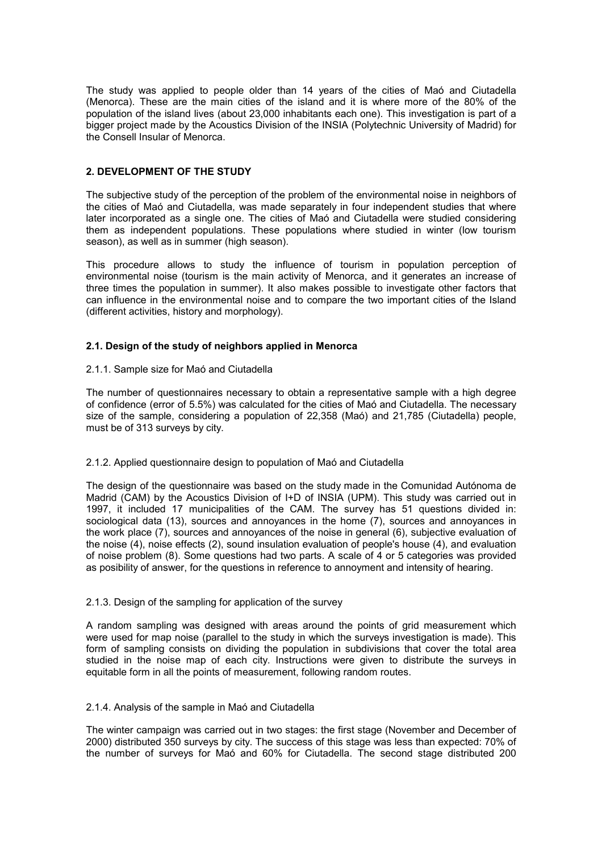The study was applied to people older than 14 years of the cities of Maó and Ciutadella (Menorca). These are the main cities of the island and it is where more of the 80% of the population of the island lives (about 23,000 inhabitants each one). This investigation is part of a bigger project made by the Acoustics Division of the INSIA (Polytechnic University of Madrid) for the Consell Insular of Menorca.

## **2. DEVELOPMENT OF THE STUDY**

The subjective study of the perception of the problem of the environmental noise in neighbors of the cities of Maó and Ciutadella, was made separately in four independent studies that where later incorporated as a single one. The cities of Maó and Ciutadella were studied considering them as independent populations. These populations where studied in winter (low tourism season), as well as in summer (high season).

This procedure allows to study the influence of tourism in population perception of environmental noise (tourism is the main activity of Menorca, and it generates an increase of three times the population in summer). It also makes possible to investigate other factors that can influence in the environmental noise and to compare the two important cities of the Island (different activities, history and morphology).

# **2.1. Design of the study of neighbors applied in Menorca**

## 2.1.1. Sample size for Maó and Ciutadella

The number of questionnaires necessary to obtain a representative sample with a high degree of confidence (error of 5.5%) was calculated for the cities of Maó and Ciutadella. The necessary size of the sample, considering a population of 22,358 (Maó) and 21,785 (Ciutadella) people, must be of 313 surveys by city.

## 2.1.2. Applied questionnaire design to population of Maó and Ciutadella

The design of the questionnaire was based on the study made in the Comunidad Autónoma de Madrid (CAM) by the Acoustics Division of I+D of INSIA (UPM). This study was carried out in 1997, it included 17 municipalities of the CAM. The survey has 51 questions divided in: sociological data (13), sources and annoyances in the home (7), sources and annoyances in the work place (7), sources and annoyances of the noise in general (6), subjective evaluation of the noise (4), noise effects (2), sound insulation evaluation of people's house (4), and evaluation of noise problem (8). Some questions had two parts. A scale of 4 or 5 categories was provided as posibility of answer, for the questions in reference to annoyment and intensity of hearing.

## 2.1.3. Design of the sampling for application of the survey

A random sampling was designed with areas around the points of grid measurement which were used for map noise (parallel to the study in which the surveys investigation is made). This form of sampling consists on dividing the population in subdivisions that cover the total area studied in the noise map of each city. Instructions were given to distribute the surveys in equitable form in all the points of measurement, following random routes.

## 2.1.4. Analysis of the sample in Maó and Ciutadella

The winter campaign was carried out in two stages: the first stage (November and December of 2000) distributed 350 surveys by city. The success of this stage was less than expected: 70% of the number of surveys for Maó and 60% for Ciutadella. The second stage distributed 200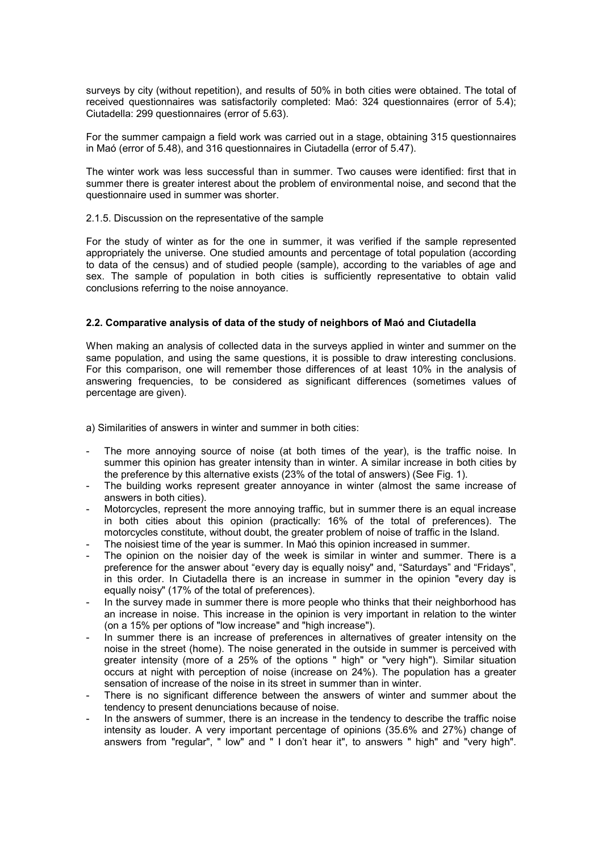surveys by city (without repetition), and results of 50% in both cities were obtained. The total of received questionnaires was satisfactorily completed: Maó: 324 questionnaires (error of 5.4); Ciutadella: 299 questionnaires (error of 5.63).

For the summer campaign a field work was carried out in a stage, obtaining 315 questionnaires in Maó (error of 5.48), and 316 questionnaires in Ciutadella (error of 5.47).

The winter work was less successful than in summer. Two causes were identified: first that in summer there is greater interest about the problem of environmental noise, and second that the questionnaire used in summer was shorter.

#### 2.1.5. Discussion on the representative of the sample

For the study of winter as for the one in summer, it was verified if the sample represented appropriately the universe. One studied amounts and percentage of total population (according to data of the census) and of studied people (sample), according to the variables of age and sex. The sample of population in both cities is sufficiently representative to obtain valid conclusions referring to the noise annoyance.

#### **2.2. Comparative analysis of data of the study of neighbors of Maó and Ciutadella**

When making an analysis of collected data in the surveys applied in winter and summer on the same population, and using the same questions, it is possible to draw interesting conclusions. For this comparison, one will remember those differences of at least 10% in the analysis of answering frequencies, to be considered as significant differences (sometimes values of percentage are given).

a) Similarities of answers in winter and summer in both cities:

- The more annoying source of noise (at both times of the year), is the traffic noise. In summer this opinion has greater intensity than in winter. A similar increase in both cities by the preference by this alternative exists (23% of the total of answers) (See Fig. 1).
- The building works represent greater annoyance in winter (almost the same increase of answers in both cities).
- Motorcycles, represent the more annoying traffic, but in summer there is an equal increase in both cities about this opinion (practically: 16% of the total of preferences). The motorcycles constitute, without doubt, the greater problem of noise of traffic in the Island.
- The noisiest time of the year is summer. In Maó this opinion increased in summer.
- The opinion on the noisier day of the week is similar in winter and summer. There is a preference for the answer about "every day is equally noisy" and, "Saturdays" and "Fridays", in this order. In Ciutadella there is an increase in summer in the opinion "every day is equally noisy" (17% of the total of preferences).
- In the survey made in summer there is more people who thinks that their neighborhood has an increase in noise. This increase in the opinion is very important in relation to the winter (on a 15% per options of "low increase" and "high increase").
- In summer there is an increase of preferences in alternatives of greater intensity on the noise in the street (home). The noise generated in the outside in summer is perceived with greater intensity (more of a 25% of the options " high" or "very high"). Similar situation occurs at night with perception of noise (increase on 24%). The population has a greater sensation of increase of the noise in its street in summer than in winter.
- There is no significant difference between the answers of winter and summer about the tendency to present denunciations because of noise.
- In the answers of summer, there is an increase in the tendency to describe the traffic noise intensity as louder. A very important percentage of opinions (35.6% and 27%) change of answers from "regular", " low" and " I don't hear it", to answers " high" and "very high".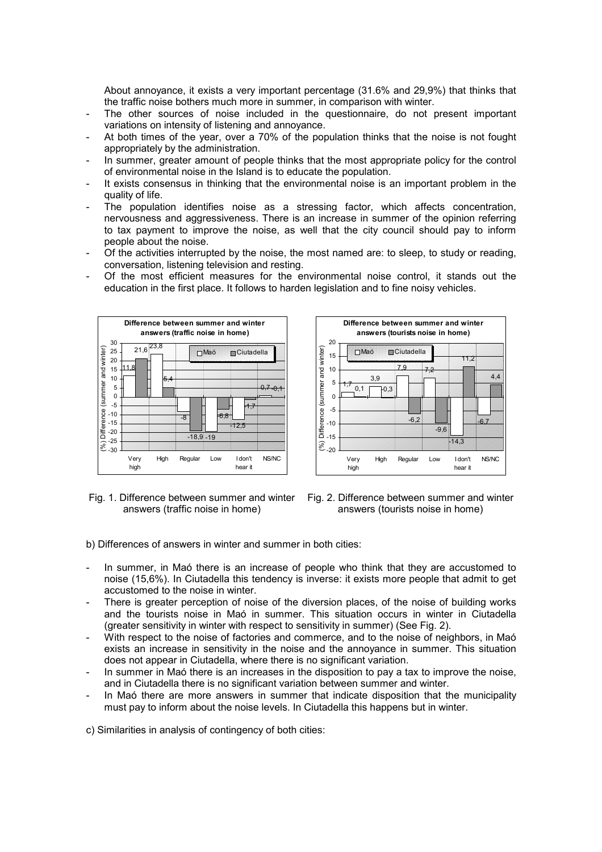About annoyance, it exists a very important percentage (31.6% and 29,9%) that thinks that the traffic noise bothers much more in summer, in comparison with winter.

- The other sources of noise included in the questionnaire, do not present important variations on intensity of listening and annoyance.
- At both times of the year, over a 70% of the population thinks that the noise is not fought appropriately by the administration.
- In summer, greater amount of people thinks that the most appropriate policy for the control of environmental noise in the Island is to educate the population.
- It exists consensus in thinking that the environmental noise is an important problem in the quality of life.
- The population identifies noise as a stressing factor, which affects concentration, nervousness and aggressiveness. There is an increase in summer of the opinion referring to tax payment to improve the noise, as well that the city council should pay to inform people about the noise.
- Of the activities interrupted by the noise, the most named are: to sleep, to study or reading, conversation, listening television and resting.
- Of the most efficient measures for the environmental noise control, it stands out the education in the first place. It follows to harden legislation and to fine noisy vehicles.





Fig. 1. Difference between summer and winter answers (traffic noise in home)



b) Differences of answers in winter and summer in both cities:

- In summer, in Maó there is an increase of people who think that they are accustomed to noise (15,6%). In Ciutadella this tendency is inverse: it exists more people that admit to get accustomed to the noise in winter.
- There is greater perception of noise of the diversion places, of the noise of building works and the tourists noise in Maó in summer. This situation occurs in winter in Ciutadella (greater sensitivity in winter with respect to sensitivity in summer) (See Fig. 2).
- With respect to the noise of factories and commerce, and to the noise of neighbors, in Maó exists an increase in sensitivity in the noise and the annoyance in summer. This situation does not appear in Ciutadella, where there is no significant variation.
- In summer in Maó there is an increases in the disposition to pay a tax to improve the noise. and in Ciutadella there is no significant variation between summer and winter.
- In Maó there are more answers in summer that indicate disposition that the municipality must pay to inform about the noise levels. In Ciutadella this happens but in winter.

c) Similarities in analysis of contingency of both cities: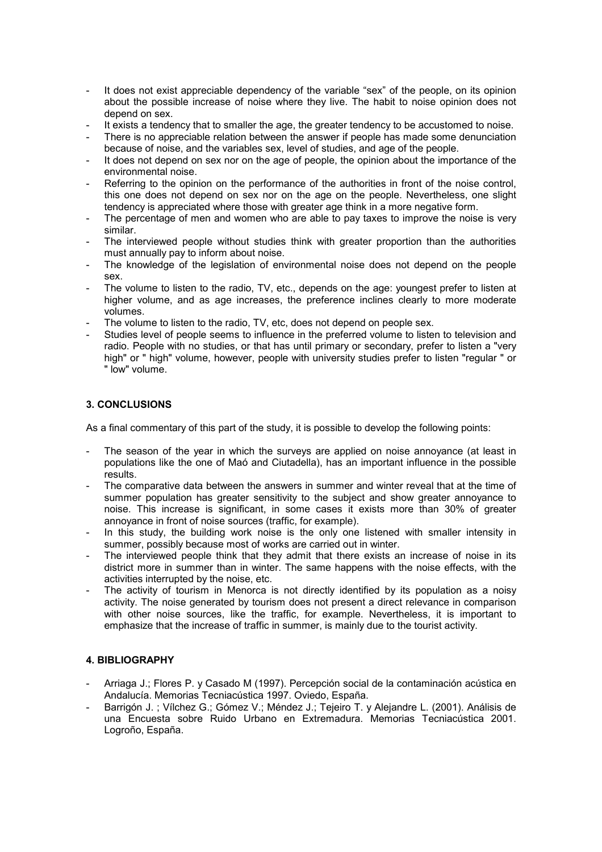- It does not exist appreciable dependency of the variable "sex" of the people, on its opinion about the possible increase of noise where they live. The habit to noise opinion does not depend on sex.
- It exists a tendency that to smaller the age, the greater tendency to be accustomed to noise.
- There is no appreciable relation between the answer if people has made some denunciation because of noise, and the variables sex, level of studies, and age of the people.
- It does not depend on sex nor on the age of people, the opinion about the importance of the environmental noise.
- Referring to the opinion on the performance of the authorities in front of the noise control, this one does not depend on sex nor on the age on the people. Nevertheless, one slight tendency is appreciated where those with greater age think in a more negative form.
- The percentage of men and women who are able to pay taxes to improve the noise is very similar.
- The interviewed people without studies think with greater proportion than the authorities must annually pay to inform about noise.
- The knowledge of the legislation of environmental noise does not depend on the people sex.
- The volume to listen to the radio, TV, etc., depends on the age: youngest prefer to listen at higher volume, and as age increases, the preference inclines clearly to more moderate volumes.
- The volume to listen to the radio, TV, etc, does not depend on people sex.
- Studies level of people seems to influence in the preferred volume to listen to television and radio. People with no studies, or that has until primary or secondary, prefer to listen a "very high" or " high" volume, however, people with university studies prefer to listen "regular " or " low" volume.

## **3. CONCLUSIONS**

As a final commentary of this part of the study, it is possible to develop the following points:

- The season of the year in which the surveys are applied on noise annoyance (at least in populations like the one of Maó and Ciutadella), has an important influence in the possible results.
- The comparative data between the answers in summer and winter reveal that at the time of summer population has greater sensitivity to the subject and show greater annoyance to noise. This increase is significant, in some cases it exists more than 30% of greater annoyance in front of noise sources (traffic, for example).
- In this study, the building work noise is the only one listened with smaller intensity in summer, possibly because most of works are carried out in winter.
- The interviewed people think that they admit that there exists an increase of noise in its district more in summer than in winter. The same happens with the noise effects, with the activities interrupted by the noise, etc.
- The activity of tourism in Menorca is not directly identified by its population as a noisy activity. The noise generated by tourism does not present a direct relevance in comparison with other noise sources, like the traffic, for example. Nevertheless, it is important to emphasize that the increase of traffic in summer, is mainly due to the tourist activity.

## **4. BIBLIOGRAPHY**

- Arriaga J.; Flores P. y Casado M (1997). Percepción social de la contaminación acústica en Andalucía. Memorias Tecniacústica 1997. Oviedo, España.
- Barrigón J. ; Vílchez G.; Gómez V.; Méndez J.; Tejeiro T. y Alejandre L. (2001). Análisis de una Encuesta sobre Ruido Urbano en Extremadura. Memorias Tecniacústica 2001. Logroño, España.